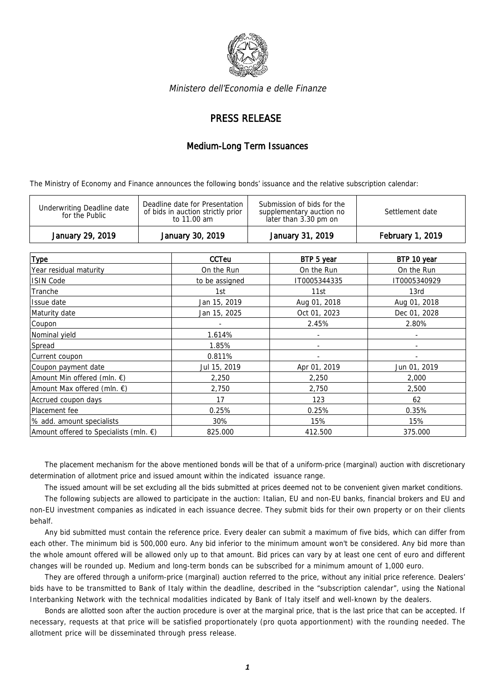

Ministero dell'Economia e delle Finanze

## PRESS RELEASE

## Medium-Long Term Issuances

The Ministry of Economy and Finance announces the following bonds' issuance and the relative subscription calendar:

| Deadline date for Presentation<br>Submission of bids for the<br>Underwriting Deadline date<br>of bids in auction strictly prior<br>Settlement date<br>supplementary auction no<br>for the Public<br>later than 3.30 pm on<br>to 11.00 am | January 29, 2019 | January 30, 2019 | January 31, 2019 | <b>February 1, 2019</b> |
|------------------------------------------------------------------------------------------------------------------------------------------------------------------------------------------------------------------------------------------|------------------|------------------|------------------|-------------------------|
|                                                                                                                                                                                                                                          |                  |                  |                  |                         |

| <b>Type</b>                                      | <b>CCTeu</b>   | BTP 5 year   | BTP 10 year  |
|--------------------------------------------------|----------------|--------------|--------------|
| Year residual maturity                           | On the Run     | On the Run   | On the Run   |
| <b>ISIN Code</b>                                 | to be assigned | IT0005344335 | IT0005340929 |
| Tranche                                          | 1st            | 11st         | 13rd         |
| Issue date                                       | Jan 15, 2019   | Aug 01, 2018 | Aug 01, 2018 |
| Maturity date                                    | Jan 15, 2025   | Oct 01, 2023 | Dec 01, 2028 |
| Coupon                                           |                | 2.45%        | 2.80%        |
| Nominal yield                                    | 1.614%         |              | ٠            |
| Spread                                           | 1.85%          |              |              |
| Current coupon                                   | 0.811%         |              |              |
| Coupon payment date                              | Jul 15, 2019   | Apr 01, 2019 | Jun 01, 2019 |
| Amount Min offered (mln. €)                      | 2,250          | 2,250        | 2,000        |
| Amount Max offered (mln. €)                      | 2,750          | 2,750        | 2,500        |
| Accrued coupon days                              | 17             | 123          | 62           |
| Placement fee                                    | 0.25%          | 0.25%        | 0.35%        |
| % add. amount specialists                        | 30%            | 15%          | 15%          |
| Amount offered to Specialists (mln. $\epsilon$ ) | 825.000        | 412.500      | 375.000      |

The placement mechanism for the above mentioned bonds will be that of a uniform-price (marginal) auction with discretionary determination of allotment price and issued amount within the indicated issuance range.

The issued amount will be set excluding all the bids submitted at prices deemed not to be convenient given market conditions.

The following subjects are allowed to participate in the auction: Italian, EU and non-EU banks, financial brokers and EU and non-EU investment companies as indicated in each issuance decree. They submit bids for their own property or on their clients behalf.

Any bid submitted must contain the reference price. Every dealer can submit a maximum of five bids, which can differ from each other. The minimum bid is 500,000 euro. Any bid inferior to the minimum amount won't be considered. Any bid more than the whole amount offered will be allowed only up to that amount. Bid prices can vary by at least one cent of euro and different changes will be rounded up. Medium and long-term bonds can be subscribed for a minimum amount of 1,000 euro.

They are offered through a uniform-price (marginal) auction referred to the price, without any initial price reference. Dealers' bids have to be transmitted to Bank of Italy within the deadline, described in the "subscription calendar", using the National Interbanking Network with the technical modalities indicated by Bank of Italy itself and well-known by the dealers.

Bonds are allotted soon after the auction procedure is over at the marginal price, that is the last price that can be accepted. If necessary, requests at that price will be satisfied proportionately (pro quota apportionment) with the rounding needed. The allotment price will be disseminated through press release.